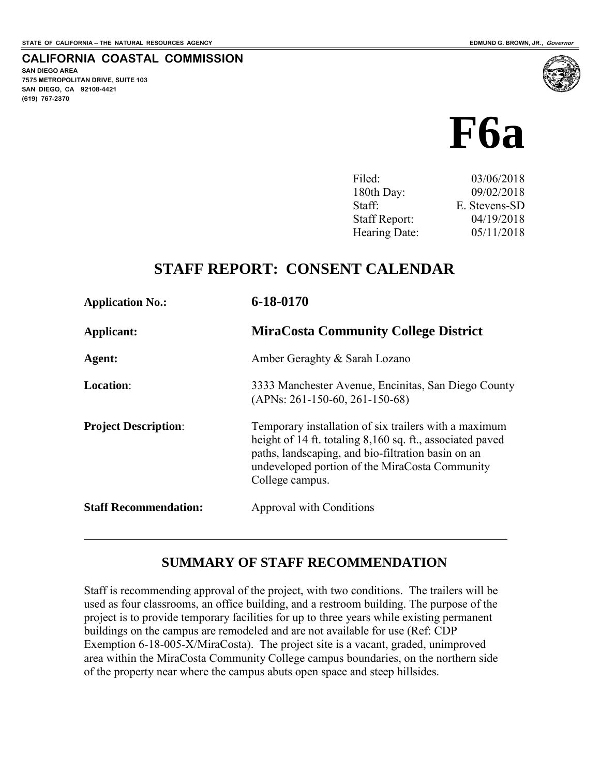**SAN DIEGO AREA** 

**(619) 767-2370**

**7575 METROPOLITAN DRIVE, SUITE 103 SAN DIEGO, CA 92108-4421**

 $\overline{a}$ 

**CALIFORNIA COASTAL COMMISSION** 

# **F6a**

| Filed:               | 03/06/2018    |
|----------------------|---------------|
| 180th Day:           | 09/02/2018    |
| Staff:               | E. Stevens-SD |
| <b>Staff Report:</b> | 04/19/2018    |
| Hearing Date:        | 05/11/2018    |
|                      |               |

## **STAFF REPORT: CONSENT CALENDAR**

| <b>Application No.:</b>      | 6-18-0170                                                                                                                                                                                                                                     |
|------------------------------|-----------------------------------------------------------------------------------------------------------------------------------------------------------------------------------------------------------------------------------------------|
| Applicant:                   | <b>MiraCosta Community College District</b>                                                                                                                                                                                                   |
| Agent:                       | Amber Geraghty & Sarah Lozano                                                                                                                                                                                                                 |
| <b>Location:</b>             | 3333 Manchester Avenue, Encinitas, San Diego County<br>$(APNs: 261-150-60, 261-150-68)$                                                                                                                                                       |
| <b>Project Description:</b>  | Temporary installation of six trailers with a maximum<br>height of 14 ft. totaling 8,160 sq. ft., associated paved<br>paths, landscaping, and bio-filtration basin on an<br>undeveloped portion of the MiraCosta Community<br>College campus. |
| <b>Staff Recommendation:</b> | Approval with Conditions                                                                                                                                                                                                                      |

#### **SUMMARY OF STAFF RECOMMENDATION**

Staff is recommending approval of the project, with two conditions. The trailers will be used as four classrooms, an office building, and a restroom building. The purpose of the project is to provide temporary facilities for up to three years while existing permanent buildings on the campus are remodeled and are not available for use (Ref: CDP Exemption 6-18-005-X/MiraCosta). The project site is a vacant, graded, unimproved area within the MiraCosta Community College campus boundaries, on the northern side of the property near where the campus abuts open space and steep hillsides.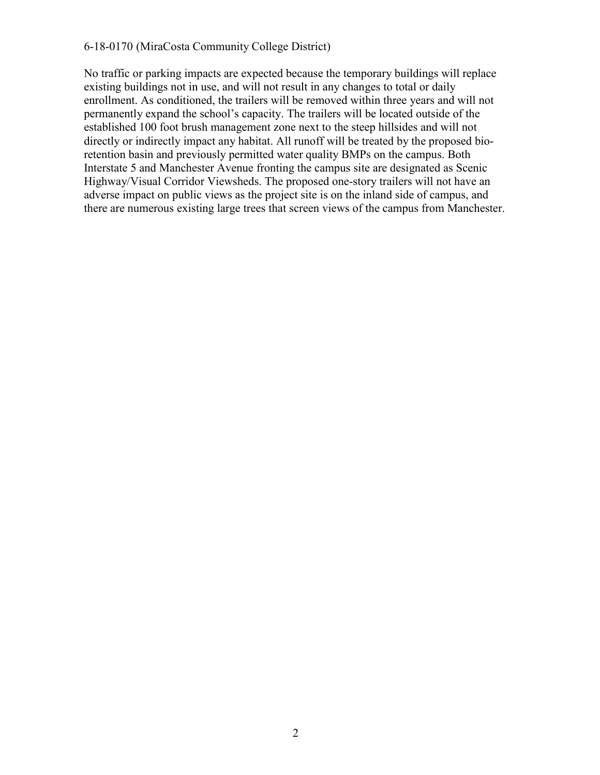#### 6-18-0170 (MiraCosta Community College District)

No traffic or parking impacts are expected because the temporary buildings will replace existing buildings not in use, and will not result in any changes to total or daily enrollment. As conditioned, the trailers will be removed within three years and will not permanently expand the school's capacity. The trailers will be located outside of the established 100 foot brush management zone next to the steep hillsides and will not directly or indirectly impact any habitat. All runoff will be treated by the proposed bioretention basin and previously permitted water quality BMPs on the campus. Both Interstate 5 and Manchester Avenue fronting the campus site are designated as Scenic Highway/Visual Corridor Viewsheds. The proposed one-story trailers will not have an adverse impact on public views as the project site is on the inland side of campus, and there are numerous existing large trees that screen views of the campus from Manchester.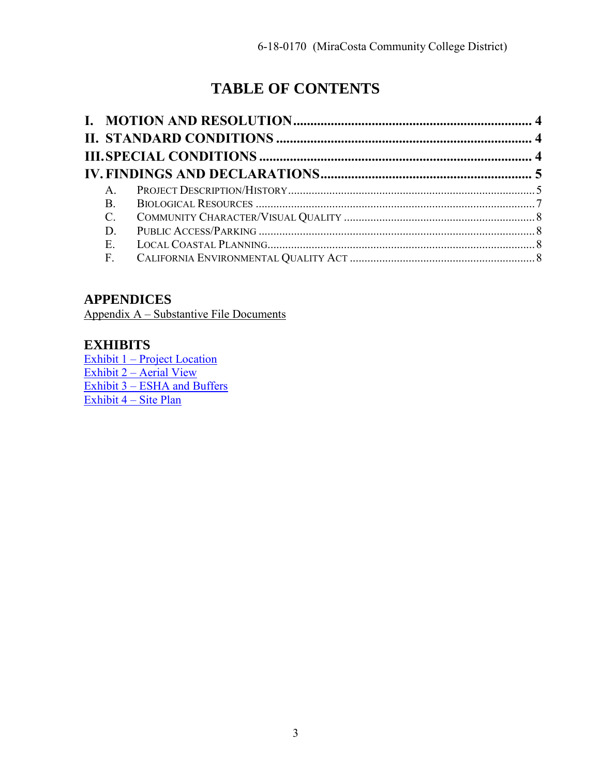# **TABLE OF CONTENTS**

| $\mathsf{A}$    |  |
|-----------------|--|
| B.              |  |
| $\mathcal{C}$ . |  |
| D               |  |
| E.              |  |
| $\mathbf{F}$ .  |  |

#### **APPENDICES**

Appendix A – Substantive File Documents

#### **EXHIBITS**

[Exhibit 1 – Project Location](https://documents.coastal.ca.gov/reports/2018/5/f6a/f6a-5-2018-exhibits.pdf)  [Exhibit 2 – Aerial View](https://documents.coastal.ca.gov/reports/2018/5/f6a/f6a-5-2018-exhibits.pdf)  [Exhibit 3 – ESHA and Buffers](https://documents.coastal.ca.gov/reports/2018/5/f6a/f6a-5-2018-exhibits.pdf)  [Exhibit 4 – Site Plan](https://documents.coastal.ca.gov/reports/2018/5/f6a/f6a-5-2018-exhibits.pdf)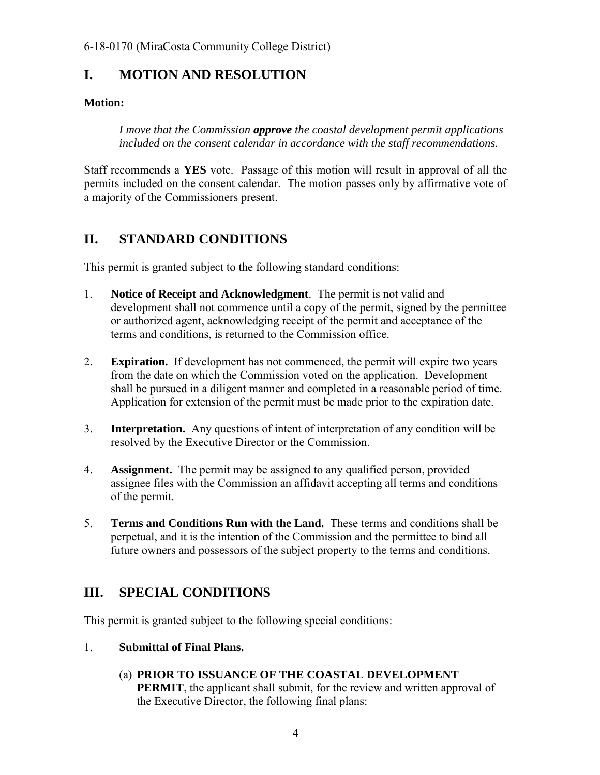# <span id="page-3-0"></span>**I. MOTION AND RESOLUTION**

#### **Motion:**

*I move that the Commission approve the coastal development permit applications included on the consent calendar in accordance with the staff recommendations.* 

Staff recommends a **YES** vote. Passage of this motion will result in approval of all the permits included on the consent calendar. The motion passes only by affirmative vote of a majority of the Commissioners present.

# <span id="page-3-1"></span>**II. STANDARD CONDITIONS**

This permit is granted subject to the following standard conditions:

- 1. **Notice of Receipt and Acknowledgment**. The permit is not valid and development shall not commence until a copy of the permit, signed by the permittee or authorized agent, acknowledging receipt of the permit and acceptance of the terms and conditions, is returned to the Commission office.
- 2. **Expiration.** If development has not commenced, the permit will expire two years from the date on which the Commission voted on the application. Development shall be pursued in a diligent manner and completed in a reasonable period of time. Application for extension of the permit must be made prior to the expiration date.
- 3. **Interpretation.** Any questions of intent of interpretation of any condition will be resolved by the Executive Director or the Commission.
- 4. **Assignment.** The permit may be assigned to any qualified person, provided assignee files with the Commission an affidavit accepting all terms and conditions of the permit.
- 5. **Terms and Conditions Run with the Land.** These terms and conditions shall be perpetual, and it is the intention of the Commission and the permittee to bind all future owners and possessors of the subject property to the terms and conditions.

# <span id="page-3-2"></span>**III. SPECIAL CONDITIONS**

This permit is granted subject to the following special conditions:

1. **Submittal of Final Plans.**

#### (a) **PRIOR TO ISSUANCE OF THE COASTAL DEVELOPMENT**

**PERMIT**, the applicant shall submit, for the review and written approval of the Executive Director, the following final plans: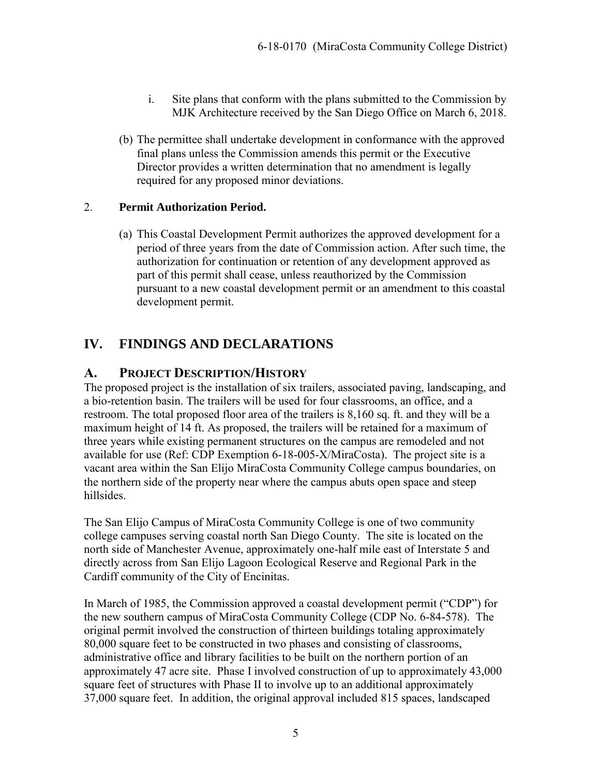- i. Site plans that conform with the plans submitted to the Commission by MJK Architecture received by the San Diego Office on March 6, 2018.
- (b) The permittee shall undertake development in conformance with the approved final plans unless the Commission amends this permit or the Executive Director provides a written determination that no amendment is legally required for any proposed minor deviations.

#### 2. **Permit Authorization Period.**

(a) This Coastal Development Permit authorizes the approved development for a period of three years from the date of Commission action. After such time, the authorization for continuation or retention of any development approved as part of this permit shall cease, unless reauthorized by the Commission pursuant to a new coastal development permit or an amendment to this coastal development permit.

# <span id="page-4-0"></span>**IV. FINDINGS AND DECLARATIONS**

#### <span id="page-4-1"></span>**A. PROJECT DESCRIPTION/HISTORY**

The proposed project is the installation of six trailers, associated paving, landscaping, and a bio-retention basin. The trailers will be used for four classrooms, an office, and a restroom. The total proposed floor area of the trailers is 8,160 sq. ft. and they will be a maximum height of 14 ft. As proposed, the trailers will be retained for a maximum of three years while existing permanent structures on the campus are remodeled and not available for use (Ref: CDP Exemption 6-18-005-X/MiraCosta). The project site is a vacant area within the San Elijo MiraCosta Community College campus boundaries, on the northern side of the property near where the campus abuts open space and steep hillsides.

The San Elijo Campus of MiraCosta Community College is one of two community college campuses serving coastal north San Diego County. The site is located on the north side of Manchester Avenue, approximately one-half mile east of Interstate 5 and directly across from San Elijo Lagoon Ecological Reserve and Regional Park in the Cardiff community of the City of Encinitas.

In March of 1985, the Commission approved a coastal development permit ("CDP") for the new southern campus of MiraCosta Community College (CDP No. 6-84-578). The original permit involved the construction of thirteen buildings totaling approximately 80,000 square feet to be constructed in two phases and consisting of classrooms, administrative office and library facilities to be built on the northern portion of an approximately 47 acre site. Phase I involved construction of up to approximately 43,000 square feet of structures with Phase II to involve up to an additional approximately 37,000 square feet. In addition, the original approval included 815 spaces, landscaped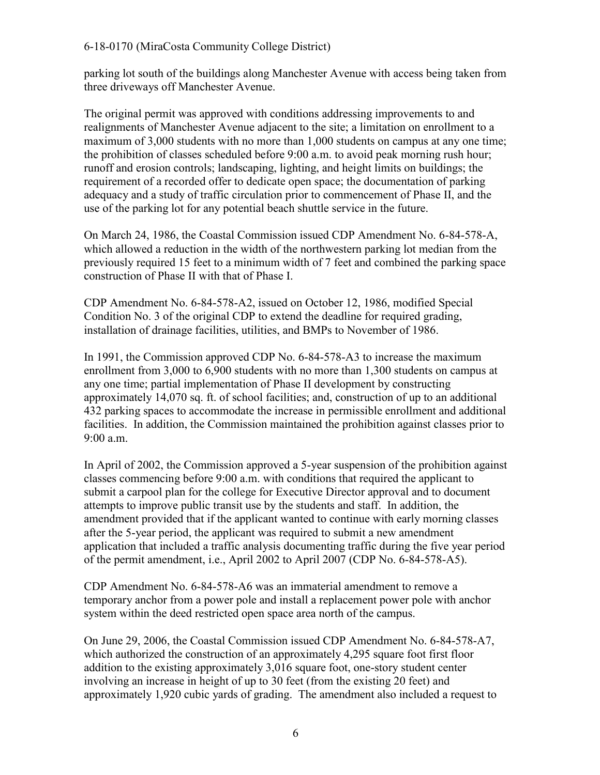parking lot south of the buildings along Manchester Avenue with access being taken from three driveways off Manchester Avenue.

The original permit was approved with conditions addressing improvements to and realignments of Manchester Avenue adjacent to the site; a limitation on enrollment to a maximum of 3,000 students with no more than 1,000 students on campus at any one time; the prohibition of classes scheduled before 9:00 a.m. to avoid peak morning rush hour; runoff and erosion controls; landscaping, lighting, and height limits on buildings; the requirement of a recorded offer to dedicate open space; the documentation of parking adequacy and a study of traffic circulation prior to commencement of Phase II, and the use of the parking lot for any potential beach shuttle service in the future.

On March 24, 1986, the Coastal Commission issued CDP Amendment No. 6-84-578-A, which allowed a reduction in the width of the northwestern parking lot median from the previously required 15 feet to a minimum width of 7 feet and combined the parking space construction of Phase II with that of Phase I.

CDP Amendment No. 6-84-578-A2, issued on October 12, 1986, modified Special Condition No. 3 of the original CDP to extend the deadline for required grading, installation of drainage facilities, utilities, and BMPs to November of 1986.

In 1991, the Commission approved CDP No. 6-84-578-A3 to increase the maximum enrollment from 3,000 to 6,900 students with no more than 1,300 students on campus at any one time; partial implementation of Phase II development by constructing approximately 14,070 sq. ft. of school facilities; and, construction of up to an additional 432 parking spaces to accommodate the increase in permissible enrollment and additional facilities. In addition, the Commission maintained the prohibition against classes prior to 9:00 a.m.

In April of 2002, the Commission approved a 5-year suspension of the prohibition against classes commencing before 9:00 a.m. with conditions that required the applicant to submit a carpool plan for the college for Executive Director approval and to document attempts to improve public transit use by the students and staff. In addition, the amendment provided that if the applicant wanted to continue with early morning classes after the 5-year period, the applicant was required to submit a new amendment application that included a traffic analysis documenting traffic during the five year period of the permit amendment, i.e., April 2002 to April 2007 (CDP No. 6-84-578-A5).

CDP Amendment No. 6-84-578-A6 was an immaterial amendment to remove a temporary anchor from a power pole and install a replacement power pole with anchor system within the deed restricted open space area north of the campus.

On June 29, 2006, the Coastal Commission issued CDP Amendment No. 6-84-578-A7, which authorized the construction of an approximately 4,295 square foot first floor addition to the existing approximately 3,016 square foot, one-story student center involving an increase in height of up to 30 feet (from the existing 20 feet) and approximately 1,920 cubic yards of grading. The amendment also included a request to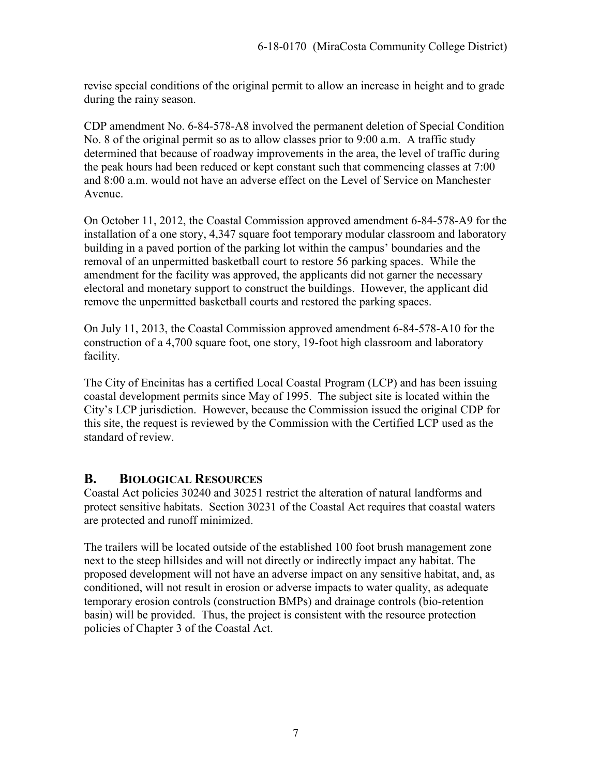revise special conditions of the original permit to allow an increase in height and to grade during the rainy season.

CDP amendment No. 6-84-578-A8 involved the permanent deletion of Special Condition No. 8 of the original permit so as to allow classes prior to 9:00 a.m. A traffic study determined that because of roadway improvements in the area, the level of traffic during the peak hours had been reduced or kept constant such that commencing classes at 7:00 and 8:00 a.m. would not have an adverse effect on the Level of Service on Manchester Avenue.

On October 11, 2012, the Coastal Commission approved amendment 6-84-578-A9 for the installation of a one story, 4,347 square foot temporary modular classroom and laboratory building in a paved portion of the parking lot within the campus' boundaries and the removal of an unpermitted basketball court to restore 56 parking spaces. While the amendment for the facility was approved, the applicants did not garner the necessary electoral and monetary support to construct the buildings. However, the applicant did remove the unpermitted basketball courts and restored the parking spaces.

On July 11, 2013, the Coastal Commission approved amendment 6-84-578-A10 for the construction of a 4,700 square foot, one story, 19-foot high classroom and laboratory facility.

The City of Encinitas has a certified Local Coastal Program (LCP) and has been issuing coastal development permits since May of 1995. The subject site is located within the City's LCP jurisdiction. However, because the Commission issued the original CDP for this site, the request is reviewed by the Commission with the Certified LCP used as the standard of review.

#### <span id="page-6-0"></span>**B. BIOLOGICAL RESOURCES**

Coastal Act policies 30240 and 30251 restrict the alteration of natural landforms and protect sensitive habitats. Section 30231 of the Coastal Act requires that coastal waters are protected and runoff minimized.

The trailers will be located outside of the established 100 foot brush management zone next to the steep hillsides and will not directly or indirectly impact any habitat. The proposed development will not have an adverse impact on any sensitive habitat, and, as conditioned, will not result in erosion or adverse impacts to water quality, as adequate temporary erosion controls (construction BMPs) and drainage controls (bio-retention basin) will be provided. Thus, the project is consistent with the resource protection policies of Chapter 3 of the Coastal Act.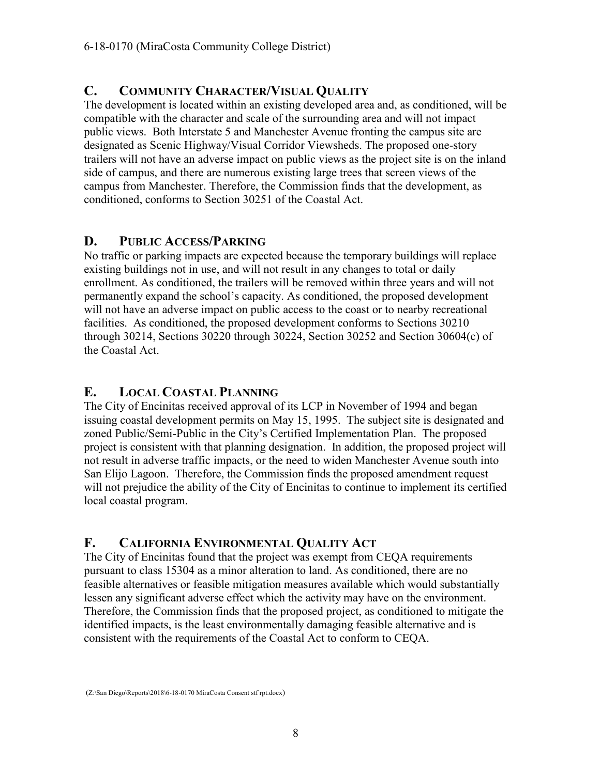#### <span id="page-7-0"></span>**C. COMMUNITY CHARACTER/VISUAL QUALITY**

The development is located within an existing developed area and, as conditioned, will be compatible with the character and scale of the surrounding area and will not impact public views. Both Interstate 5 and Manchester Avenue fronting the campus site are designated as Scenic Highway/Visual Corridor Viewsheds. The proposed one-story trailers will not have an adverse impact on public views as the project site is on the inland side of campus, and there are numerous existing large trees that screen views of the campus from Manchester. Therefore, the Commission finds that the development, as conditioned, conforms to Section 30251 of the Coastal Act.

#### <span id="page-7-1"></span>**D. PUBLIC ACCESS/PARKING**

No traffic or parking impacts are expected because the temporary buildings will replace existing buildings not in use, and will not result in any changes to total or daily enrollment. As conditioned, the trailers will be removed within three years and will not permanently expand the school's capacity. As conditioned, the proposed development will not have an adverse impact on public access to the coast or to nearby recreational facilities. As conditioned, the proposed development conforms to Sections 30210 through 30214, Sections 30220 through 30224, Section 30252 and Section 30604(c) of the Coastal Act.

#### <span id="page-7-2"></span>**E. LOCAL COASTAL PLANNING**

The City of Encinitas received approval of its LCP in November of 1994 and began issuing coastal development permits on May 15, 1995. The subject site is designated and zoned Public/Semi-Public in the City's Certified Implementation Plan. The proposed project is consistent with that planning designation. In addition, the proposed project will not result in adverse traffic impacts, or the need to widen Manchester Avenue south into San Elijo Lagoon. Therefore, the Commission finds the proposed amendment request will not prejudice the ability of the City of Encinitas to continue to implement its certified local coastal program.

#### <span id="page-7-3"></span>**F. CALIFORNIA ENVIRONMENTAL QUALITY ACT**

The City of Encinitas found that the project was exempt from CEQA requirements pursuant to class 15304 as a minor alteration to land. As conditioned, there are no feasible alternatives or feasible mitigation measures available which would substantially lessen any significant adverse effect which the activity may have on the environment. Therefore, the Commission finds that the proposed project, as conditioned to mitigate the identified impacts, is the least environmentally damaging feasible alternative and is consistent with the requirements of the Coastal Act to conform to CEQA.